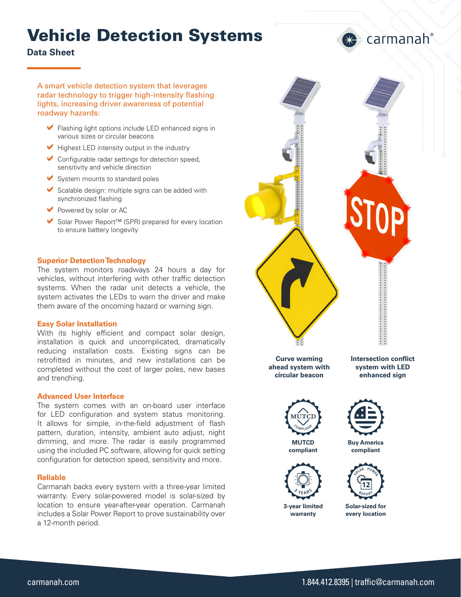# Vehicle Detection Systems

**Data Sheet** 

A smart vehicle detection system that leverages radar technology to trigger high-intensity flashing lights, increasing driver awareness of potential roadway hazards:

- Flashing light options include LED enhanced signs in various sizes or circular beacons
- $\blacktriangleright$  Highest LED intensity output in the industry
- $\triangleright$  Configurable radar settings for detection speed, sensitivity and vehicle direction
- $\triangleright$  System mounts to standard poles
- $\triangleright$  Scalable design: multiple signs can be added with synchronized flashing
- $\blacktriangleright$  Powered by solar or AC
- Solar Power Report™ (SPR) prepared for every location to ensure battery longevity

#### **Superior Detection Technology**

The system monitors roadways 24 hours a day for vehicles, without interfering with other traffic detection systems. When the radar unit detects a vehicle, the system activates the LEDs to warn the driver and make them aware of the oncoming hazard or warning sign.

#### **Easy Solar Installation**

With its highly efficient and compact solar design, installation is quick and uncomplicated, dramatically reducing installation costs. Existing signs can be retrofitted in minutes, and new installations can be completed without the cost of larger poles, new bases and trenching.

#### **Advanced User Interface**

The system comes with an on-board user interface for LED configuration and system status monitoring. It allows for simple, in-the-field adjustment of flash pattern, duration, intensity, ambient auto adjust, night dimming, and more. The radar is easily programmed using the included PC software, allowing for quick setting configuration for detection speed, sensitivity and more.

#### **Reliable**

Carmanah backs every system with a three-year limited warranty. Every solar-powered model is solar-sized by location to ensure year-after-year operation. Carmanah includes a Solar Power Report to prove sustainability over a 12-month period.